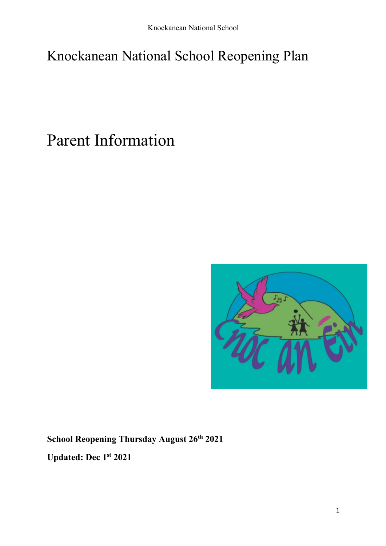# Knockanean National School Reopening Plan

Parent Information



**School Reopening Thursday August 26th 2021**

**Updated: Dec 1st 2021**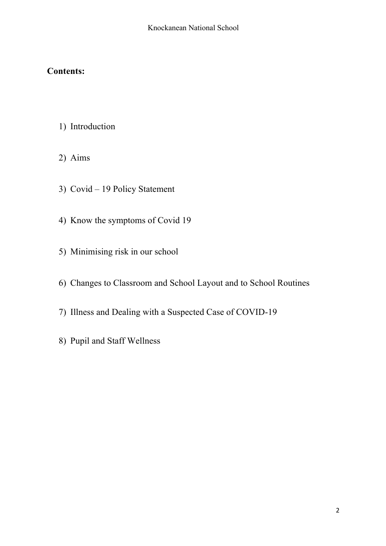# **Contents:**

- 1) Introduction
- 2) Aims
- 3) Covid 19 Policy Statement
- 4) Know the symptoms of Covid 19
- 5) Minimising risk in our school
- 6) Changes to Classroom and School Layout and to School Routines
- 7) Illness and Dealing with a Suspected Case of COVID-19
- 8) Pupil and Staff Wellness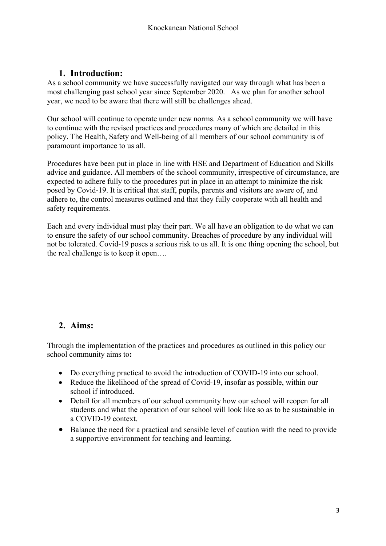## **1. Introduction:**

As a school community we have successfully navigated our way through what has been a most challenging past school year since September 2020. As we plan for another school year, we need to be aware that there will still be challenges ahead.

Our school will continue to operate under new norms. As a school community we will have to continue with the revised practices and procedures many of which are detailed in this policy. The Health, Safety and Well-being of all members of our school community is of paramount importance to us all.

Procedures have been put in place in line with HSE and Department of Education and Skills advice and guidance. All members of the school community, irrespective of circumstance, are expected to adhere fully to the procedures put in place in an attempt to minimize the risk posed by Covid-19. It is critical that staff, pupils, parents and visitors are aware of, and adhere to, the control measures outlined and that they fully cooperate with all health and safety requirements.

Each and every individual must play their part. We all have an obligation to do what we can to ensure the safety of our school community. Breaches of procedure by any individual will not be tolerated. Covid-19 poses a serious risk to us all. It is one thing opening the school, but the real challenge is to keep it open….

## **2. Aims:**

Through the implementation of the practices and procedures as outlined in this policy our school community aims to**:**

- Do everything practical to avoid the introduction of COVID-19 into our school.
- Reduce the likelihood of the spread of Covid-19, insofar as possible, within our school if introduced.
- Detail for all members of our school community how our school will reopen for all students and what the operation of our school will look like so as to be sustainable in a COVID-19 context.
- Balance the need for a practical and sensible level of caution with the need to provide a supportive environment for teaching and learning.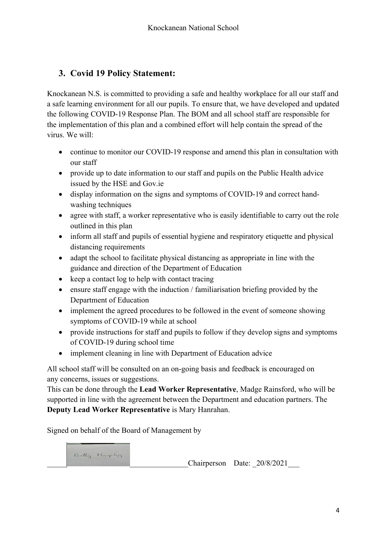# **3. Covid 19 Policy Statement:**

Knockanean N.S. is committed to providing a safe and healthy workplace for all our staff and a safe learning environment for all our pupils. To ensure that, we have developed and updated the following COVID-19 Response Plan. The BOM and all school staff are responsible for the implementation of this plan and a combined effort will help contain the spread of the virus. We will:

- continue to monitor our COVID-19 response and amend this plan in consultation with our staff
- provide up to date information to our staff and pupils on the Public Health advice issued by the HSE and Gov.ie
- display information on the signs and symptoms of COVID-19 and correct handwashing techniques
- agree with staff, a worker representative who is easily identifiable to carry out the role outlined in this plan
- inform all staff and pupils of essential hygiene and respiratory etiquette and physical distancing requirements
- adapt the school to facilitate physical distancing as appropriate in line with the guidance and direction of the Department of Education
- keep a contact log to help with contact tracing
- ensure staff engage with the induction / familiarisation briefing provided by the Department of Education
- implement the agreed procedures to be followed in the event of someone showing symptoms of COVID-19 while at school
- provide instructions for staff and pupils to follow if they develop signs and symptoms of COVID-19 during school time
- implement cleaning in line with Department of Education advice

All school staff will be consulted on an on-going basis and feedback is encouraged on any concerns, issues or suggestions.

This can be done through the **Lead Worker Representative**, Madge Rainsford, who will be supported in line with the agreement between the Department and education partners. The **Deputy Lead Worker Representative** is Mary Hanrahan.

Signed on behalf of the Board of Management by

Betty Murphy

Chairperson Date:  $20/8/2021$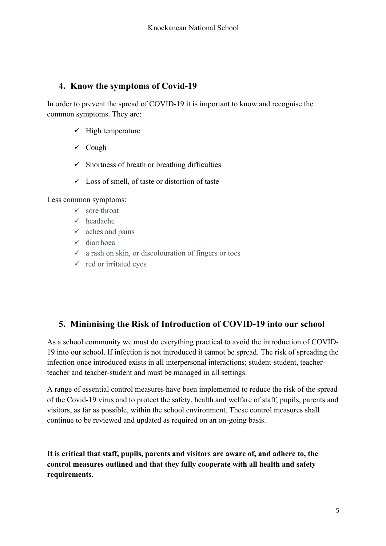## **4. Know the symptoms of Covid-19**

In order to prevent the spread of COVID-19 it is important to know and recognise the common symptoms. They are:

- $\checkmark$  High temperature
- $\checkmark$  Cough
- $\checkmark$  Shortness of breath or breathing difficulties
- $\checkmark$  Loss of smell, of taste or distortion of taste

Less common symptoms:

- $\checkmark$  sore throat
- $\checkmark$  headache
- $\checkmark$  aches and pains
- $\checkmark$  diarrhoea
- $\checkmark$  a rash on skin, or discolouration of fingers or toes
- $\checkmark$  red or irritated eyes

# **5. Minimising the Risk of Introduction of COVID-19 into our school**

As a school community we must do everything practical to avoid the introduction of COVID-19 into our school. If infection is not introduced it cannot be spread. The risk of spreading the infection once introduced exists in all interpersonal interactions; student-student, teacherteacher and teacher-student and must be managed in all settings.

A range of essential control measures have been implemented to reduce the risk of the spread of the Covid-19 virus and to protect the safety, health and welfare of staff, pupils, parents and visitors, as far as possible, within the school environment. These control measures shall continue to be reviewed and updated as required on an on-going basis.

**It is critical that staff, pupils, parents and visitors are aware of, and adhere to, the control measures outlined and that they fully cooperate with all health and safety requirements.**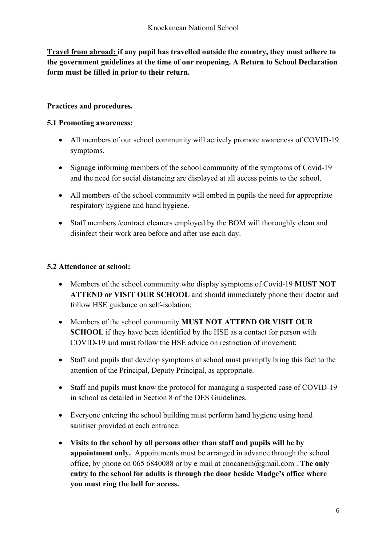**Travel from abroad: if any pupil has travelled outside the country, they must adhere to the government guidelines at the time of our reopening. A Return to School Declaration form must be filled in prior to their return.** 

### **Practices and procedures.**

#### **5.1 Promoting awareness:**

- All members of our school community will actively promote awareness of COVID-19 symptoms.
- Signage informing members of the school community of the symptoms of Covid-19 and the need for social distancing are displayed at all access points to the school.
- All members of the school community will embed in pupils the need for appropriate respiratory hygiene and hand hygiene.
- Staff members /contract cleaners employed by the BOM will thoroughly clean and disinfect their work area before and after use each day.

#### **5.2 Attendance at school:**

- Members of the school community who display symptoms of Covid-19 **MUST NOT ATTEND or VISIT OUR SCHOOL** and should immediately phone their doctor and follow HSE guidance on self-isolation;
- Members of the school community **MUST NOT ATTEND OR VISIT OUR SCHOOL** if they have been identified by the HSE as a contact for person with COVID-19 and must follow the HSE advice on restriction of movement;
- Staff and pupils that develop symptoms at school must promptly bring this fact to the attention of the Principal, Deputy Principal, as appropriate.
- Staff and pupils must know the protocol for managing a suspected case of COVID-19 in school as detailed in Section 8 of the DES Guidelines.
- Everyone entering the school building must perform hand hygiene using hand sanitiser provided at each entrance.
- **Visits to the school by all persons other than staff and pupils will be by appointment only.** Appointments must be arranged in advance through the school office, by phone on 065 6840088 or by e mail at cnocanein@gmail.com . **The only entry to the school for adults is through the door beside Madge's office where you must ring the bell for access.**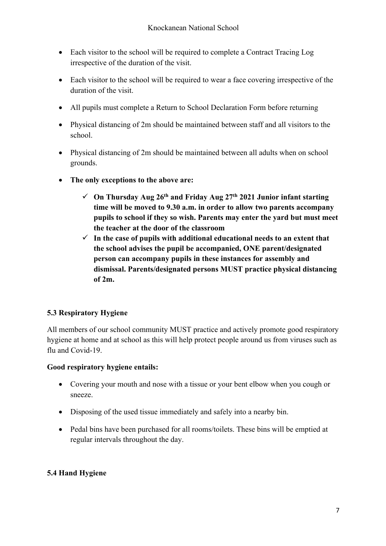- Each visitor to the school will be required to complete a Contract Tracing Log irrespective of the duration of the visit.
- Each visitor to the school will be required to wear a face covering irrespective of the duration of the visit.
- All pupils must complete a Return to School Declaration Form before returning
- Physical distancing of 2m should be maintained between staff and all visitors to the school.
- Physical distancing of 2m should be maintained between all adults when on school grounds.
- **The only exceptions to the above are:**
	- $\checkmark$  On Thursday Aug 26<sup>th</sup> and Friday Aug 27<sup>th</sup> 2021 Junior infant starting **time will be moved to 9.30 a.m. in order to allow two parents accompany pupils to school if they so wish. Parents may enter the yard but must meet the teacher at the door of the classroom**
	- $\checkmark$  In the case of pupils with additional educational needs to an extent that **the school advises the pupil be accompanied, ONE parent/designated person can accompany pupils in these instances for assembly and dismissal. Parents/designated persons MUST practice physical distancing of 2m.**

## **5.3 Respiratory Hygiene**

All members of our school community MUST practice and actively promote good respiratory hygiene at home and at school as this will help protect people around us from viruses such as flu and Covid-19.

#### **Good respiratory hygiene entails:**

- Covering your mouth and nose with a tissue or your bent elbow when you cough or sneeze.
- Disposing of the used tissue immediately and safely into a nearby bin.
- Pedal bins have been purchased for all rooms/toilets. These bins will be emptied at regular intervals throughout the day.

## **5.4 Hand Hygiene**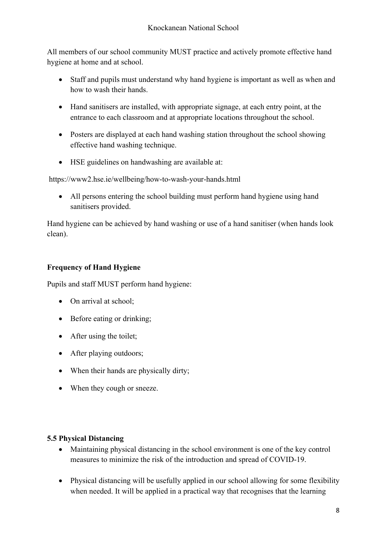All members of our school community MUST practice and actively promote effective hand hygiene at home and at school.

- Staff and pupils must understand why hand hygiene is important as well as when and how to wash their hands.
- Hand sanitisers are installed, with appropriate signage, at each entry point, at the entrance to each classroom and at appropriate locations throughout the school.
- Posters are displayed at each hand washing station throughout the school showing effective hand washing technique.
- HSE guidelines on handwashing are available at:

https://www2.hse.ie/wellbeing/how-to-wash-your-hands.html

• All persons entering the school building must perform hand hygiene using hand sanitisers provided.

Hand hygiene can be achieved by hand washing or use of a hand sanitiser (when hands look clean).

### **Frequency of Hand Hygiene**

Pupils and staff MUST perform hand hygiene:

- On arrival at school;
- Before eating or drinking;
- After using the toilet;
- After playing outdoors;
- When their hands are physically dirty;
- When they cough or sneeze.

#### **5.5 Physical Distancing**

- Maintaining physical distancing in the school environment is one of the key control measures to minimize the risk of the introduction and spread of COVID-19.
- Physical distancing will be usefully applied in our school allowing for some flexibility when needed. It will be applied in a practical way that recognises that the learning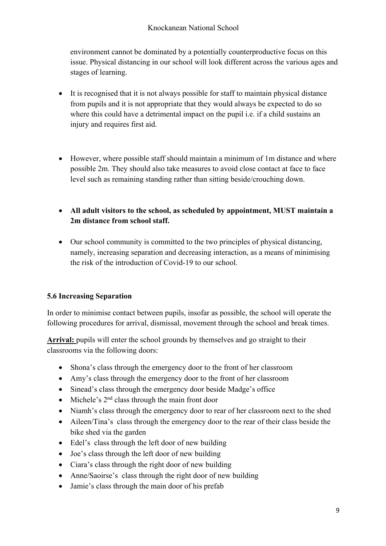environment cannot be dominated by a potentially counterproductive focus on this issue. Physical distancing in our school will look different across the various ages and stages of learning.

- It is recognised that it is not always possible for staff to maintain physical distance from pupils and it is not appropriate that they would always be expected to do so where this could have a detrimental impact on the pupil i.e. if a child sustains an injury and requires first aid.
- However, where possible staff should maintain a minimum of 1m distance and where possible 2m. They should also take measures to avoid close contact at face to face level such as remaining standing rather than sitting beside/crouching down.
- **All adult visitors to the school, as scheduled by appointment, MUST maintain a 2m distance from school staff.**
- Our school community is committed to the two principles of physical distancing, namely, increasing separation and decreasing interaction, as a means of minimising the risk of the introduction of Covid-19 to our school.

#### **5.6 Increasing Separation**

In order to minimise contact between pupils, insofar as possible, the school will operate the following procedures for arrival, dismissal, movement through the school and break times.

**Arrival:** pupils will enter the school grounds by themselves and go straight to their classrooms via the following doors:

- Shona's class through the emergency door to the front of her classroom
- Amy's class through the emergency door to the front of her classroom
- Sinead's class through the emergency door beside Madge's office
- Michele's  $2<sup>nd</sup>$  class through the main front door
- Niamh's class through the emergency door to rear of her classroom next to the shed
- Aileen/Tina's class through the emergency door to the rear of their class beside the bike shed via the garden
- Edel's class through the left door of new building
- Joe's class through the left door of new building
- Ciara's class through the right door of new building
- Anne/Saoirse's class through the right door of new building
- Jamie's class through the main door of his prefab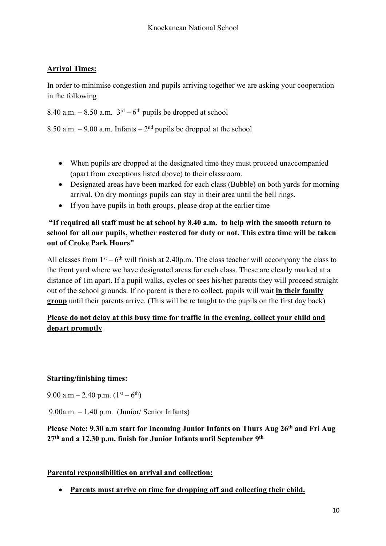## **Arrival Times:**

In order to minimise congestion and pupils arriving together we are asking your cooperation in the following

8.40 a.m. – 8.50 a.m.  $3<sup>rd</sup>$  – 6<sup>th</sup> pupils be dropped at school

8.50 a.m. – 9.00 a.m. Infants –  $2<sup>nd</sup>$  pupils be dropped at the school

- When pupils are dropped at the designated time they must proceed unaccompanied (apart from exceptions listed above) to their classroom.
- Designated areas have been marked for each class (Bubble) on both yards for morning arrival. On dry mornings pupils can stay in their area until the bell rings.
- If you have pupils in both groups, please drop at the earlier time

#### **"If required all staff must be at school by 8.40 a.m. to help with the smooth return to school for all our pupils, whether rostered for duty or not. This extra time will be taken out of Croke Park Hours"**

All classes from  $1<sup>st</sup> - 6<sup>th</sup>$  will finish at 2.40p.m. The class teacher will accompany the class to the front yard where we have designated areas for each class. These are clearly marked at a distance of 1m apart. If a pupil walks, cycles or sees his/her parents they will proceed straight out of the school grounds. If no parent is there to collect, pupils will wait **in their family group** until their parents arrive. (This will be re taught to the pupils on the first day back)

### **Please do not delay at this busy time for traffic in the evening, collect your child and depart promptly**

#### **Starting/finishing times:**

9.00 a.m – 2.40 p.m.  $(1<sup>st</sup> – 6<sup>th</sup>)$ 

9.00a.m. – 1.40 p.m. (Junior/ Senior Infants)

### **Please Note: 9.30 a.m start for Incoming Junior Infants on Thurs Aug 26th and Fri Aug 27th and a 12.30 p.m. finish for Junior Infants until September 9th**

#### **Parental responsibilities on arrival and collection:**

• **Parents must arrive on time for dropping off and collecting their child.**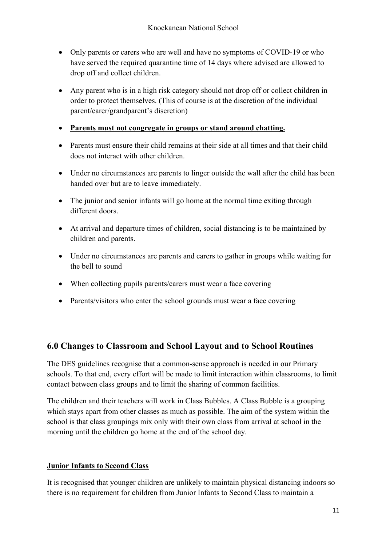- Only parents or carers who are well and have no symptoms of COVID-19 or who have served the required quarantine time of 14 days where advised are allowed to drop off and collect children.
- Any parent who is in a high risk category should not drop off or collect children in order to protect themselves. (This of course is at the discretion of the individual parent/carer/grandparent's discretion)
- **Parents must not congregate in groups or stand around chatting.**
- Parents must ensure their child remains at their side at all times and that their child does not interact with other children.
- Under no circumstances are parents to linger outside the wall after the child has been handed over but are to leave immediately.
- The junior and senior infants will go home at the normal time exiting through different doors.
- At arrival and departure times of children, social distancing is to be maintained by children and parents.
- Under no circumstances are parents and carers to gather in groups while waiting for the bell to sound
- When collecting pupils parents/carers must wear a face covering
- Parents/visitors who enter the school grounds must wear a face covering

## **6.0 Changes to Classroom and School Layout and to School Routines**

The DES guidelines recognise that a common-sense approach is needed in our Primary schools. To that end, every effort will be made to limit interaction within classrooms, to limit contact between class groups and to limit the sharing of common facilities.

The children and their teachers will work in Class Bubbles. A Class Bubble is a grouping which stays apart from other classes as much as possible. The aim of the system within the school is that class groupings mix only with their own class from arrival at school in the morning until the children go home at the end of the school day.

#### **Junior Infants to Second Class**

It is recognised that younger children are unlikely to maintain physical distancing indoors so there is no requirement for children from Junior Infants to Second Class to maintain a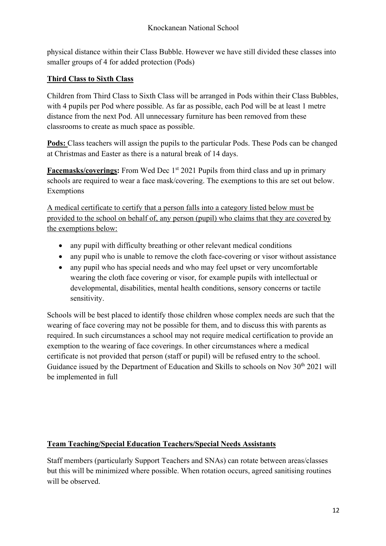physical distance within their Class Bubble. However we have still divided these classes into smaller groups of 4 for added protection (Pods)

### **Third Class to Sixth Class**

Children from Third Class to Sixth Class will be arranged in Pods within their Class Bubbles, with 4 pupils per Pod where possible. As far as possible, each Pod will be at least 1 metre distance from the next Pod. All unnecessary furniture has been removed from these classrooms to create as much space as possible.

**Pods:** Class teachers will assign the pupils to the particular Pods. These Pods can be changed at Christmas and Easter as there is a natural break of 14 days.

**Facemasks/coverings:** From Wed Dec 1<sup>st</sup> 2021 Pupils from third class and up in primary schools are required to wear a face mask/covering. The exemptions to this are set out below. Exemptions

A medical certificate to certify that a person falls into a category listed below must be provided to the school on behalf of, any person (pupil) who claims that they are covered by the exemptions below:

- any pupil with difficulty breathing or other relevant medical conditions
- any pupil who is unable to remove the cloth face-covering or visor without assistance
- any pupil who has special needs and who may feel upset or very uncomfortable wearing the cloth face covering or visor, for example pupils with intellectual or developmental, disabilities, mental health conditions, sensory concerns or tactile sensitivity.

Schools will be best placed to identify those children whose complex needs are such that the wearing of face covering may not be possible for them, and to discuss this with parents as required. In such circumstances a school may not require medical certification to provide an exemption to the wearing of face coverings. In other circumstances where a medical certificate is not provided that person (staff or pupil) will be refused entry to the school. Guidance issued by the Department of Education and Skills to schools on Nov 30<sup>th</sup> 2021 will be implemented in full

#### **Team Teaching/Special Education Teachers/Special Needs Assistants**

Staff members (particularly Support Teachers and SNAs) can rotate between areas/classes but this will be minimized where possible. When rotation occurs, agreed sanitising routines will be observed.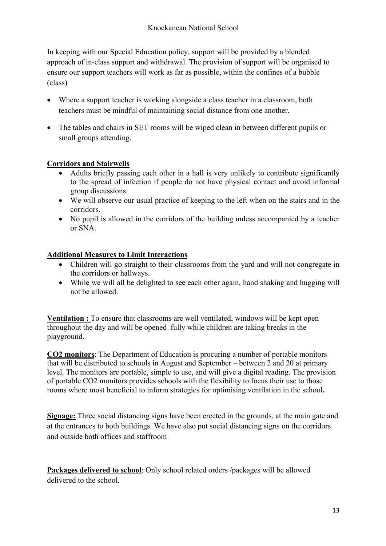In keeping with our Special Education policy, support will be provided by a blended approach of in-class support and withdrawal. The provision of support will be organised to ensure our support teachers will work as far as possible, within the confines of a bubble (class)

- Where a support teacher is working alongside a class teacher in a classroom, both teachers must be mindful of maintaining social distance from one another.
- The tables and chairs in SET rooms will be wiped clean in between different pupils or small groups attending.

#### **Corridors and Stairwells**

- Adults briefly passing each other in a hall is very unlikely to contribute significantly to the spread of infection if people do not have physical contact and avoid informal group discussions.
- We will observe our usual practice of keeping to the left when on the stairs and in the corridors.
- No pupil is allowed in the corridors of the building unless accompanied by a teacher or SNA.

### **Additional Measures to Limit Interactions**

- Children will go straight to their classrooms from the yard and will not congregate in the corridors or hallways.
- While we will all be delighted to see each other again, hand shaking and hugging will not be allowed.

**Ventilation :** To ensure that classrooms are well ventilated, windows will be kept open throughout the day and will be opened fully while children are taking breaks in the playground.

**CO2 monitors**: The Department of Education is procuring a number of portable monitors that will be distributed to schools in August and September – between 2 and 20 at primary level. The monitors are portable, simple to use, and will give a digital reading. The provision of portable CO2 monitors provides schools with the flexibility to focus their use to those rooms where most beneficial to inform strategies for optimising ventilation in the school**.**

**Signage:** Three social distancing signs have been erected in the grounds, at the main gate and at the entrances to both buildings. We have also put social distancing signs on the corridors and outside both offices and staffroom

**Packages delivered to school**: Only school related orders /packages will be allowed delivered to the school.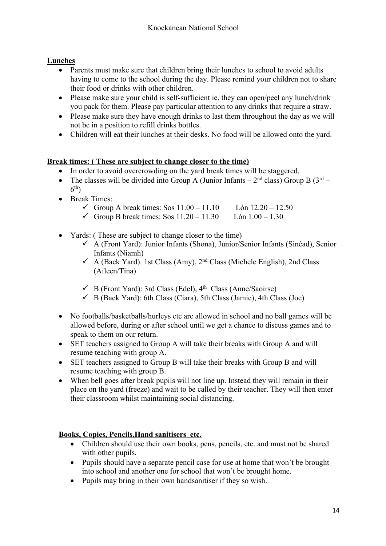## **Lunches**

- Parents must make sure that children bring their lunches to school to avoid adults having to come to the school during the day. Please remind your children not to share their food or drinks with other children.
- Please make sure your child is self-sufficient ie. they can open/peel any lunch/drink you pack for them. Please pay particular attention to any drinks that require a straw.
- Please make sure they have enough drinks to last them throughout the day as we will not be in a position to refill drinks bottles.
- Children will eat their lunches at their desks. No food will be allowed onto the yard.

#### **Break times: ( These are subject to change closer to the time)**

- In order to avoid overcrowding on the yard break times will be staggered.
- The classes will be divided into Group A (Junior Infants  $2<sup>nd</sup>$  class) Group B ( $3<sup>rd</sup>$   $6<sup>th</sup>$
- Break Times:

| Group A break times: Sos $11.00 - 11.10$                                       | Lón $12.20 - 12.50$ |
|--------------------------------------------------------------------------------|---------------------|
| $\angle$ C <sub>urr</sub> D 1, 1, 1, 1, 0, 0, 11 20 11 20 1 $\angle$ 1 00 1 20 |                     |

- $\checkmark$  Group B break times: Sos 11.20 11.30 Lón 1.00 1.30
- Yards: (These are subject to change closer to the time)
	- $\checkmark$  A (Front Yard): Junior Infants (Shona), Junior/Senior Infants (Sinéad), Senior Infants (Niamh)
	- $\checkmark$  A (Back Yard): 1st Class (Amy), 2<sup>nd</sup> Class (Michele English), 2nd Class (Aileen/Tina)
	- $\checkmark$  B (Front Yard): 3rd Class (Edel), 4<sup>th</sup> Class (Anne/Saoirse)
	- $\checkmark$  B (Back Yard): 6th Class (Ciara), 5th Class (Jamie), 4th Class (Joe)
- No footballs/basketballs/hurleys etc are allowed in school and no ball games will be allowed before, during or after school until we get a chance to discuss games and to speak to them on our return.
- SET teachers assigned to Group A will take their breaks with Group A and will resume teaching with group A.
- SET teachers assigned to Group B will take their breaks with Group B and will resume teaching with group B.
- When bell goes after break pupils will not line up. Instead they will remain in their place on the yard (freeze) and wait to be called by their teacher. They will then enter their classroom whilst maintaining social distancing.

#### **Books, Copies, Pencils,Hand sanitisers etc.**

- Children should use their own books, pens, pencils, etc. and must not be shared with other pupils.
- Pupils should have a separate pencil case for use at home that won't be brought into school and another one for school that won't be brought home.
- Pupils may bring in their own handsanitiser if they so wish.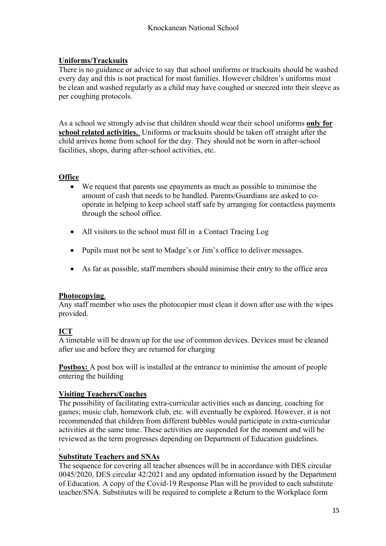#### **Uniforms/Tracksuits**

There is no guidance or advice to say that school uniforms or tracksuits should be washed every day and this is not practical for most families. However children's uniforms must be clean and washed regularly as a child may have coughed or sneezed into their sleeve as per coughing protocols.

As a school we strongly advise that children should wear their school uniforms **only for school related activities.** Uniforms or tracksuits should be taken off straight after the child arrives home from school for the day. They should not be worn in after-school facilities, shops, during after-school activities, etc.

#### **Office**

- We request that parents use epayments as much as possible to minimise the amount of cash that needs to be handled. Parents/Guardians are asked to cooperate in helping to keep school staff safe by arranging for contactless payments through the school office.
- All visitors to the school must fill in a Contact Tracing Log
- Pupils must not be sent to Madge's or Jim's office to deliver messages.
- As far as possible, staff members should minimise their entry to the office area

#### **Photocopying**.

Any staff member who uses the photocopier must clean it down after use with the wipes provided.

#### **ICT**

.

A timetable will be drawn up for the use of common devices. Devices must be cleaned after use and before they are returned for charging

**Postbox:** A post box will is installed at the entrance to minimise the amount of people entering the building

#### **Visiting Teachers/Coaches**

The possibility of facilitating extra-curricular activities such as dancing, coaching for games; music club, homework club, etc. will eventually be explored. However, it is not recommended that children from different bubbles would participate in extra-curricular activities at the same time. These activities are suspended for the moment and will be reviewed as the term progresses depending on Department of Education guidelines.

#### **Substitute Teachers and SNAs**

The sequence for covering all teacher absences will be in accordance with DES circular 0045/2020, DES circular 42/2021 and any updated information issued by the Department of Education. A copy of the Covid-19 Response Plan will be provided to each substitute teacher/SNA. Substitutes will be required to complete a Return to the Workplace form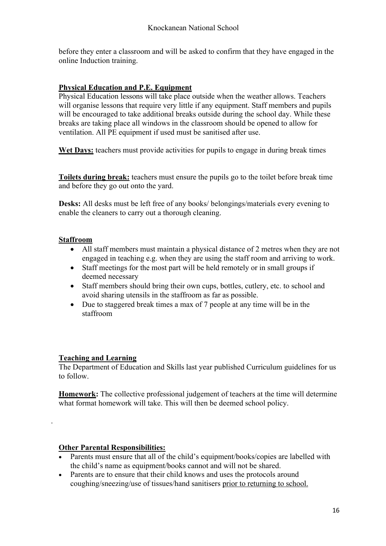before they enter a classroom and will be asked to confirm that they have engaged in the online Induction training.

#### **Physical Education and P.E. Equipment**

Physical Education lessons will take place outside when the weather allows. Teachers will organise lessons that require very little if any equipment. Staff members and pupils will be encouraged to take additional breaks outside during the school day. While these breaks are taking place all windows in the classroom should be opened to allow for ventilation. All PE equipment if used must be sanitised after use.

Wet Days: teachers must provide activities for pupils to engage in during break times

**Toilets during break:** teachers must ensure the pupils go to the toilet before break time and before they go out onto the yard.

**Desks:** All desks must be left free of any books/ belongings/materials every evening to enable the cleaners to carry out a thorough cleaning.

#### **Staffroom**

- All staff members must maintain a physical distance of 2 metres when they are not engaged in teaching e.g. when they are using the staff room and arriving to work.
- Staff meetings for the most part will be held remotely or in small groups if deemed necessary
- Staff members should bring their own cups, bottles, cutlery, etc. to school and avoid sharing utensils in the staffroom as far as possible.
- Due to staggered break times a max of 7 people at any time will be in the staffroom

#### **Teaching and Learning**

.

The Department of Education and Skills last year published Curriculum guidelines for us to follow.

**Homework:** The collective professional judgement of teachers at the time will determine what format homework will take. This will then be deemed school policy.

#### **Other Parental Responsibilities:**

- Parents must ensure that all of the child's equipment/books/copies are labelled with the child's name as equipment/books cannot and will not be shared.
- Parents are to ensure that their child knows and uses the protocols around coughing/sneezing/use of tissues/hand sanitisers prior to returning to school.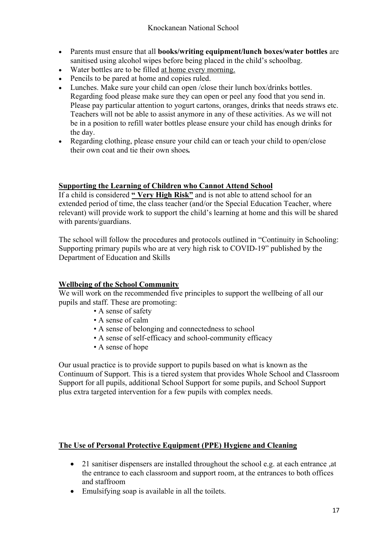- Parents must ensure that all **books/writing equipment/lunch boxes/water bottles** are sanitised using alcohol wipes before being placed in the child's schoolbag.
- Water bottles are to be filled at home every morning.
- Pencils to be pared at home and copies ruled.
- Lunches. Make sure your child can open / close their lunch box/drinks bottles. Regarding food please make sure they can open or peel any food that you send in. Please pay particular attention to yogurt cartons, oranges, drinks that needs straws etc. Teachers will not be able to assist anymore in any of these activities. As we will not be in a position to refill water bottles please ensure your child has enough drinks for the day.
- Regarding clothing, please ensure your child can or teach your child to open/close their own coat and tie their own shoes*.*

#### **Supporting the Learning of Children who Cannot Attend School**

If a child is considered **" Very High Risk"** and is not able to attend school for an extended period of time, the class teacher (and/or the Special Education Teacher, where relevant) will provide work to support the child's learning at home and this will be shared with parents/guardians.

The school will follow the procedures and protocols outlined in "Continuity in Schooling: Supporting primary pupils who are at very high risk to COVID-19" published by the Department of Education and Skills

#### **Wellbeing of the School Community**

We will work on the recommended five principles to support the wellbeing of all our pupils and staff. These are promoting:

- A sense of safety
- A sense of calm
- A sense of belonging and connectedness to school
- A sense of self-efficacy and school-community efficacy
- A sense of hope

Our usual practice is to provide support to pupils based on what is known as the Continuum of Support. This is a tiered system that provides Whole School and Classroom Support for all pupils, additional School Support for some pupils, and School Support plus extra targeted intervention for a few pupils with complex needs.

#### **The Use of Personal Protective Equipment (PPE) Hygiene and Cleaning**

- 21 sanitiser dispensers are installed throughout the school e.g. at each entrance ,at the entrance to each classroom and support room, at the entrances to both offices and staffroom
- Emulsifying soap is available in all the toilets.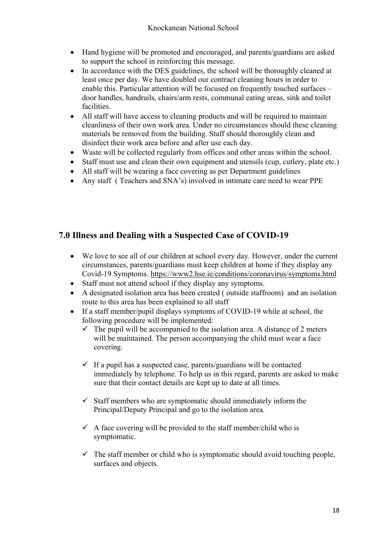- Hand hygiene will be promoted and encouraged, and parents/guardians are asked to support the school in reinforcing this message.
- In accordance with the DES guidelines, the school will be thoroughly cleaned at least once per day. We have doubled our contract cleaning hours in order to enable this. Particular attention will be focused on frequently touched surfaces – door handles, handrails, chairs/arm rests, communal eating areas, sink and toilet facilities.
- All staff will have access to cleaning products and will be required to maintain cleanliness of their own work area. Under no circumstances should these cleaning materials be removed from the building. Staff should thoroughly clean and disinfect their work area before and after use each day.
- Waste will be collected regularly from offices and other areas within the school.
- Staff must use and clean their own equipment and utensils (cup, cutlery, plate etc.)
- All staff will be wearing a face covering as per Department guidelines
- Any staff ( Teachers and SNA's) involved in intimate care need to wear PPE

# **7.0 Illness and Dealing with a Suspected Case of COVID-19**

- We love to see all of our children at school every day. However, under the current circumstances, parents/guardians must keep children at home if they display any Covid-19 Symptoms. https://www2.hse.ie/conditions/coronavirus/symptoms.html
- Staff must not attend school if they display any symptoms.
- A designated isolation area has been created ( outside staffroom) and an isolation route to this area has been explained to all staff
- If a staff member/pupil displays symptoms of COVID-19 while at school, the following procedure will be implemented:
	- $\checkmark$  The pupil will be accompanied to the isolation area. A distance of 2 meters will be maintained. The person accompanying the child must wear a face covering.
	- $\checkmark$  If a pupil has a suspected case, parents/guardians will be contacted immediately by telephone. To help us in this regard, parents are asked to make sure that their contact details are kept up to date at all times.
	- $\checkmark$  Staff members who are symptomatic should immediately inform the Principal/Deputy Principal and go to the isolation area.
	- $\checkmark$  A face covering will be provided to the staff member/child who is symptomatic.
	- $\checkmark$  The staff member or child who is symptomatic should avoid touching people, surfaces and objects.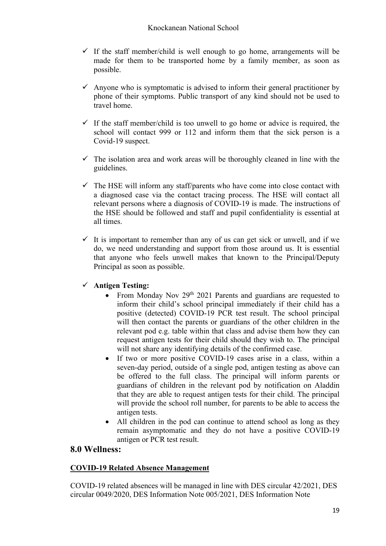- $\checkmark$  If the staff member/child is well enough to go home, arrangements will be made for them to be transported home by a family member, as soon as possible.
- $\checkmark$  Anyone who is symptomatic is advised to inform their general practitioner by phone of their symptoms. Public transport of any kind should not be used to travel home.
- $\checkmark$  If the staff member/child is too unwell to go home or advice is required, the school will contact 999 or 112 and inform them that the sick person is a Covid-19 suspect.
- $\checkmark$  The isolation area and work areas will be thoroughly cleaned in line with the guidelines.
- $\checkmark$  The HSE will inform any staff/parents who have come into close contact with a diagnosed case via the contact tracing process. The HSE will contact all relevant persons where a diagnosis of COVID-19 is made. The instructions of the HSE should be followed and staff and pupil confidentiality is essential at all times.
- $\checkmark$  It is important to remember than any of us can get sick or unwell, and if we do, we need understanding and support from those around us. It is essential that anyone who feels unwell makes that known to the Principal/Deputy Principal as soon as possible.

#### ü **Antigen Testing:**

- From Monday Nov 29<sup>th</sup> 2021 Parents and guardians are requested to inform their child's school principal immediately if their child has a positive (detected) COVID-19 PCR test result. The school principal will then contact the parents or guardians of the other children in the relevant pod e.g. table within that class and advise them how they can request antigen tests for their child should they wish to. The principal will not share any identifying details of the confirmed case.
- If two or more positive COVID-19 cases arise in a class, within a seven-day period, outside of a single pod, antigen testing as above can be offered to the full class. The principal will inform parents or guardians of children in the relevant pod by notification on Aladdin that they are able to request antigen tests for their child. The principal will provide the school roll number, for parents to be able to access the antigen tests.
- All children in the pod can continue to attend school as long as they remain asymptomatic and they do not have a positive COVID-19 antigen or PCR test result.

#### **8.0 Wellness:**

#### **COVID-19 Related Absence Management**

COVID-19 related absences will be managed in line with DES circular 42/2021, DES circular 0049/2020, DES Information Note 005/2021, DES Information Note